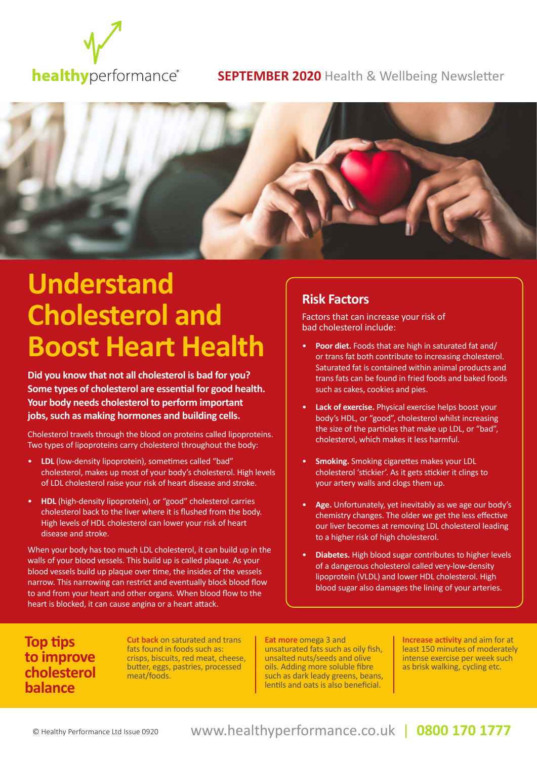

#### **SEPTEMBER 2020** Health & Wellbeing Newsletter



## **Understand Cholesterol and Boost Heart Health**

**Did you know that not all cholesterol is bad for you? Some types of cholesterol are essential for good health. Your body needs cholesterol to perform important jobs, such as making hormones and building cells.** 

Cholesterol travels through the blood on proteins called lipoproteins. Two types of lipoproteins carry cholesterol throughout the body:

- **LDL** (low-density lipoprotein), sometimes called "bad" cholesterol, makes up most of your body's cholesterol. High levels of LDL cholesterol raise your risk of heart disease and stroke.
- **HDL** (high-density lipoprotein), or "good" cholesterol carries cholesterol back to the liver where it is flushed from the body. High levels of HDL cholesterol can lower your risk of heart disease and stroke.

When your body has too much LDL cholesterol, it can build up in the walls of your blood vessels. This build up is called plaque. As your blood vessels build up plaque over time, the insides of the vessels narrow. This narrowing can restrict and eventually block blood flow to and from your heart and other organs. When blood flow to the heart is blocked, it can cause angina or a heart attack.

#### **Risk Factors**

Factors that can increase your risk of bad cholesterol include:

- **Poor diet.** Foods that are high in saturated fat and/ or trans fat both contribute to increasing cholesterol. Saturated fat is contained within animal products and trans fats can be found in fried foods and baked foods such as cakes, cookies and pies.
- **Lack of exercise.** Physical exercise helps boost your body's HDL, or "good", cholesterol whilst increasing the size of the particles that make up LDL, or "bad", cholesterol, which makes it less harmful.
- **Smoking.** Smoking cigarettes makes your LDL cholesterol 'stickier'. As it gets stickier it clings to your artery walls and clogs them up.
- **Age.** Unfortunately, yet inevitably as we age our body's chemistry changes. The older we get the less effective our liver becomes at removing LDL cholesterol leading to a higher risk of high cholesterol.
- **Diabetes.** High blood sugar contributes to higher levels of a dangerous cholesterol called very-low-density lipoprotein (VLDL) and lower HDL cholesterol. High blood sugar also damages the lining of your arteries.

#### **Top tips to improve cholesterol balance**

**Cut back** on saturated and trans fats found in foods such as: crisps, biscuits, red meat, cheese, butter, eggs, pastries, processed meat/foods.

**Eat more** omega 3 and unsaturated fats such as oily fish, unsalted nuts/seeds and olive oils. Adding more soluble fibre such as dark leady greens, beans, lentils and oats is also beneficial.

**Increase activity** and aim for at least 150 minutes of moderately intense exercise per week such as brisk walking, cycling etc.

#### www.healthyperformance.co.uk | www.healthyperformance.co.uk | www.healthyperformance.co.uk **0844 432 5849 (0844 HEALTHY) 0844 432 5849 (0844 HEALTHY)** | **0800 170 1777**